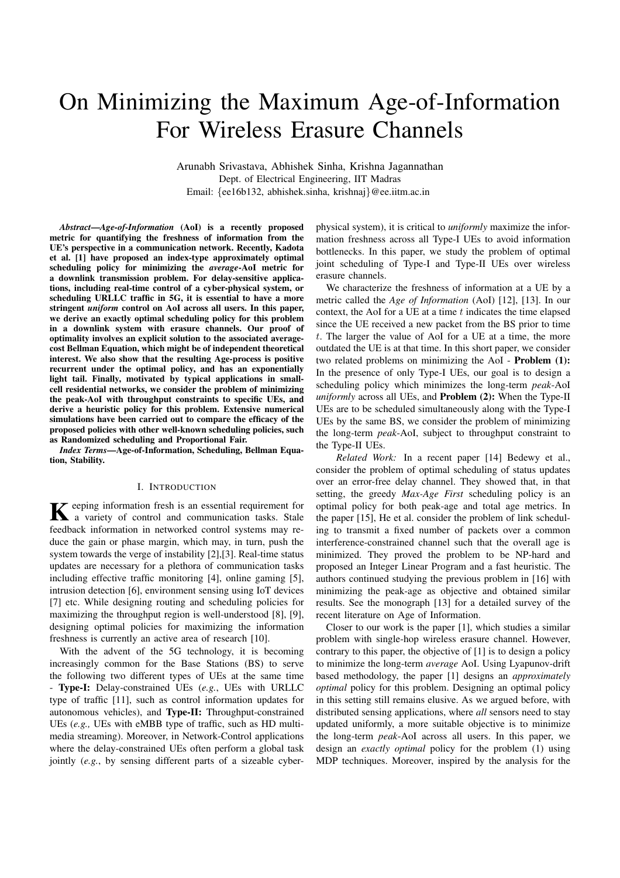# On Minimizing the Maximum Age-of-Information For Wireless Erasure Channels

Arunabh Srivastava, Abhishek Sinha, Krishna Jagannathan Dept. of Electrical Engineering, IIT Madras Email: *{*ee16b132, abhishek.sinha, krishnaj*}*@ee.iitm.ac.in

*Abstract*—*Age-of-Information* (AoI) is a recently proposed metric for quantifying the freshness of information from the UE's perspective in a communication network. Recently, Kadota et al. [1] have proposed an index-type approximately optimal scheduling policy for minimizing the *average*-AoI metric for a downlink transmission problem. For delay-sensitive applications, including real-time control of a cyber-physical system, or scheduling URLLC traffic in 5G, it is essential to have a more stringent *uniform* control on AoI across all users. In this paper, we derive an exactly optimal scheduling policy for this problem in a downlink system with erasure channels. Our proof of optimality involves an explicit solution to the associated averagecost Bellman Equation, which might be of independent theoretical interest. We also show that the resulting Age-process is positive recurrent under the optimal policy, and has an exponentially light tail. Finally, motivated by typical applications in smallcell residential networks, we consider the problem of minimizing the peak-AoI with throughput constraints to specific UEs, and derive a heuristic policy for this problem. Extensive numerical simulations have been carried out to compare the efficacy of the proposed policies with other well-known scheduling policies, such as Randomized scheduling and Proportional Fair.

*Index Terms*—Age-of-Information, Scheduling, Bellman Equation, Stability.

## I. INTRODUCTION

Keeping information fresh is an essential requirement for<br>a variety of control and communication tasks. Stale feedback information in networked control systems may reduce the gain or phase margin, which may, in turn, push the system towards the verge of instability [2],[3]. Real-time status updates are necessary for a plethora of communication tasks including effective traffic monitoring [4], online gaming [5], intrusion detection [6], environment sensing using IoT devices [7] etc. While designing routing and scheduling policies for maximizing the throughput region is well-understood [8], [9], designing optimal policies for maximizing the information freshness is currently an active area of research [10].

With the advent of the 5G technology, it is becoming increasingly common for the Base Stations (BS) to serve the following two different types of UEs at the same time - Type-I: Delay-constrained UEs (*e.g.*, UEs with URLLC type of traffic [11], such as control information updates for autonomous vehicles), and Type-II: Throughput-constrained UEs (*e.g.,* UEs with eMBB type of traffic, such as HD multimedia streaming). Moreover, in Network-Control applications where the delay-constrained UEs often perform a global task jointly (*e.g.*, by sensing different parts of a sizeable cyberphysical system), it is critical to *uniformly* maximize the information freshness across all Type-I UEs to avoid information bottlenecks. In this paper, we study the problem of optimal joint scheduling of Type-I and Type-II UEs over wireless erasure channels.

We characterize the freshness of information at a UE by a metric called the *Age of Information* (AoI) [12], [13]. In our context, the AoI for a UE at a time *t* indicates the time elapsed since the UE received a new packet from the BS prior to time *t*. The larger the value of AoI for a UE at a time, the more outdated the UE is at that time. In this short paper, we consider two related problems on minimizing the AoI - Problem (1): In the presence of only Type-I UEs, our goal is to design a scheduling policy which minimizes the long-term *peak*-AoI *uniformly* across all UEs, and Problem (2): When the Type-II UEs are to be scheduled simultaneously along with the Type-I UEs by the same BS, we consider the problem of minimizing the long-term *peak*-AoI, subject to throughput constraint to the Type-II UEs.

*Related Work:* In a recent paper [14] Bedewy et al., consider the problem of optimal scheduling of status updates over an error-free delay channel. They showed that, in that setting, the greedy *Max-Age First* scheduling policy is an optimal policy for both peak-age and total age metrics. In the paper [15], He et al. consider the problem of link scheduling to transmit a fixed number of packets over a common interference-constrained channel such that the overall age is minimized. They proved the problem to be NP-hard and proposed an Integer Linear Program and a fast heuristic. The authors continued studying the previous problem in [16] with minimizing the peak-age as objective and obtained similar results. See the monograph [13] for a detailed survey of the recent literature on Age of Information.

Closer to our work is the paper [1], which studies a similar problem with single-hop wireless erasure channel. However, contrary to this paper, the objective of [1] is to design a policy to minimize the long-term *average* AoI. Using Lyapunov-drift based methodology, the paper [1] designs an *approximately optimal* policy for this problem. Designing an optimal policy in this setting still remains elusive. As we argued before, with distributed sensing applications, where *all* sensors need to stay updated uniformly, a more suitable objective is to minimize the long-term *peak*-AoI across all users. In this paper, we design an *exactly optimal* policy for the problem (1) using MDP techniques. Moreover, inspired by the analysis for the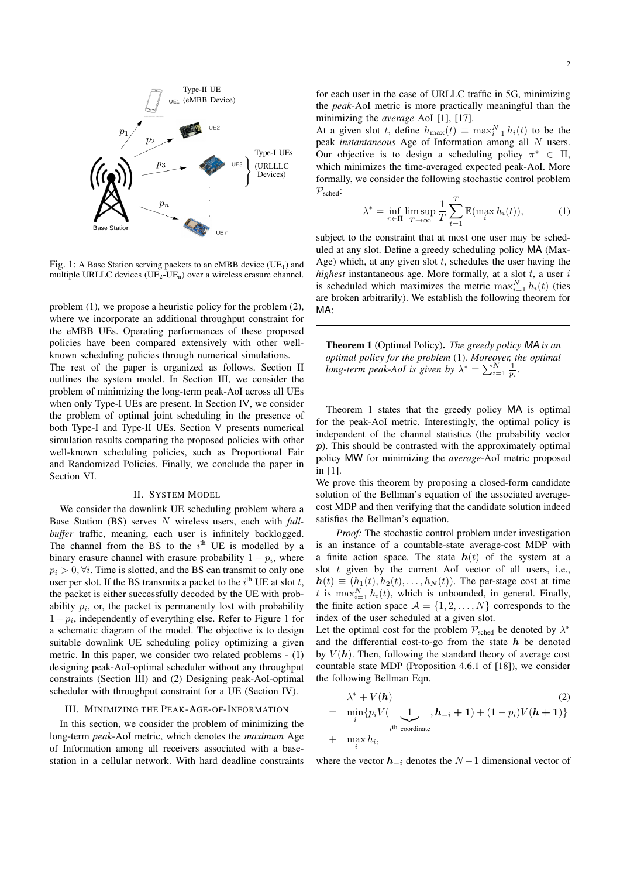

Fig. 1: A Base Station serving packets to an eMBB device (UE<sub>1</sub>) and multiple URLLC devices  $(UE<sub>2</sub>-UE<sub>n</sub>)$  over a wireless erasure channel.

problem (1), we propose a heuristic policy for the problem (2), where we incorporate an additional throughput constraint for the eMBB UEs. Operating performances of these proposed policies have been compared extensively with other wellknown scheduling policies through numerical simulations.

The rest of the paper is organized as follows. Section II outlines the system model. In Section III, we consider the problem of minimizing the long-term peak-AoI across all UEs when only Type-I UEs are present. In Section IV, we consider the problem of optimal joint scheduling in the presence of both Type-I and Type-II UEs. Section V presents numerical simulation results comparing the proposed policies with other well-known scheduling policies, such as Proportional Fair and Randomized Policies. Finally, we conclude the paper in Section VI.

#### II. SYSTEM MODEL

We consider the downlink UE scheduling problem where a Base Station (BS) serves *N* wireless users, each with *fullbuffer* traffic, meaning, each user is infinitely backlogged. The channel from the BS to the  $i<sup>th</sup>$  UE is modelled by a binary erasure channel with erasure probability  $1 - p_i$ , where  $p_i > 0$ ,  $\forall i$ . Time is slotted, and the BS can transmit to only one user per slot. If the BS transmits a packet to the  $i^{\text{th}}$  UE at slot  $t$ , the packet is either successfully decoded by the UE with probability  $p_i$ , or, the packet is permanently lost with probability  $1-p_i$ , independently of everything else. Refer to Figure 1 for a schematic diagram of the model. The objective is to design suitable downlink UE scheduling policy optimizing a given metric. In this paper, we consider two related problems - (1) designing peak-AoI-optimal scheduler without any throughput constraints (Section III) and (2) Designing peak-AoI-optimal scheduler with throughput constraint for a UE (Section IV).

#### III. MINIMIZING THE PEAK-AGE-OF-INFORMATION

In this section, we consider the problem of minimizing the long-term *peak*-AoI metric, which denotes the *maximum* Age of Information among all receivers associated with a basestation in a cellular network. With hard deadline constraints for each user in the case of URLLC traffic in 5G, minimizing the *peak*-AoI metric is more practically meaningful than the minimizing the *average* AoI [1], [17].

At a given slot *t*, define  $h_{\max}(t) \equiv \max_{i=1}^{N} h_i(t)$  to be the peak *instantaneous* Age of Information among all *N* users. Our objective is to design a scheduling policy  $\pi^* \in \Pi$ , which minimizes the time-averaged expected peak-AoI. More formally, we consider the following stochastic control problem *P*sched:

$$
\lambda^* = \inf_{\pi \in \Pi} \limsup_{T \to \infty} \frac{1}{T} \sum_{t=1}^T \mathbb{E}(\max_i h_i(t)), \tag{1}
$$

subject to the constraint that at most one user may be scheduled at any slot. Define a greedy scheduling policy MA (Max-Age) which, at any given slot *t*, schedules the user having the *highest* instantaneous age. More formally, at a slot *t*, a user *i* is scheduled which maximizes the metric  $\max_{i=1}^{N} h_i(t)$  (ties are broken arbitrarily). We establish the following theorem for MA:

Theorem 1 (Optimal Policy). *The greedy policy MA is an optimal policy for the problem* (1)*. Moreover, the optimal* long-term peak-AoI is given by  $\lambda^* = \sum_{i=1}^N \frac{1}{p_i}$ .

Theorem 1 states that the greedy policy MA is optimal for the peak-AoI metric. Interestingly, the optimal policy is independent of the channel statistics (the probability vector *p*). This should be contrasted with the approximately optimal policy MW for minimizing the *average*-AoI metric proposed in [1].

We prove this theorem by proposing a closed-form candidate solution of the Bellman's equation of the associated averagecost MDP and then verifying that the candidate solution indeed satisfies the Bellman's equation.

*Proof:* The stochastic control problem under investigation is an instance of a countable-state average-cost MDP with a finite action space. The state  $h(t)$  of the system at a slot *t* given by the current AoI vector of all users, i.e.,  $h(t) \equiv (h_1(t), h_2(t), \ldots, h_N(t))$ . The per-stage cost at time *t* is  $\max_{i=1}^{N} h_i(t)$ , which is unbounded, in general. Finally, the finite action space  $A = \{1, 2, ..., N\}$  corresponds to the index of the user scheduled at a given slot.

Let the optimal cost for the problem  $P_{\text{sched}}$  be denoted by  $\lambda^*$ and the differential cost-to-go from the state *h* be denoted by  $V(h)$ . Then, following the standard theory of average cost countable state MDP (Proposition 4.6.1 of [18]), we consider the following Bellman Eqn.

$$
\lambda^* + V(\boldsymbol{h})
$$
\n
$$
= \min_i \{ p_i V(\bigcup_{i \text{th coordinate } i} h_{i+1}) + (1 - p_i) V(\boldsymbol{h} + 1) \}
$$
\n
$$
+ \max_i h_i,
$$
\n(2)

where the vector  $h_{-i}$  denotes the  $N-1$  dimensional vector of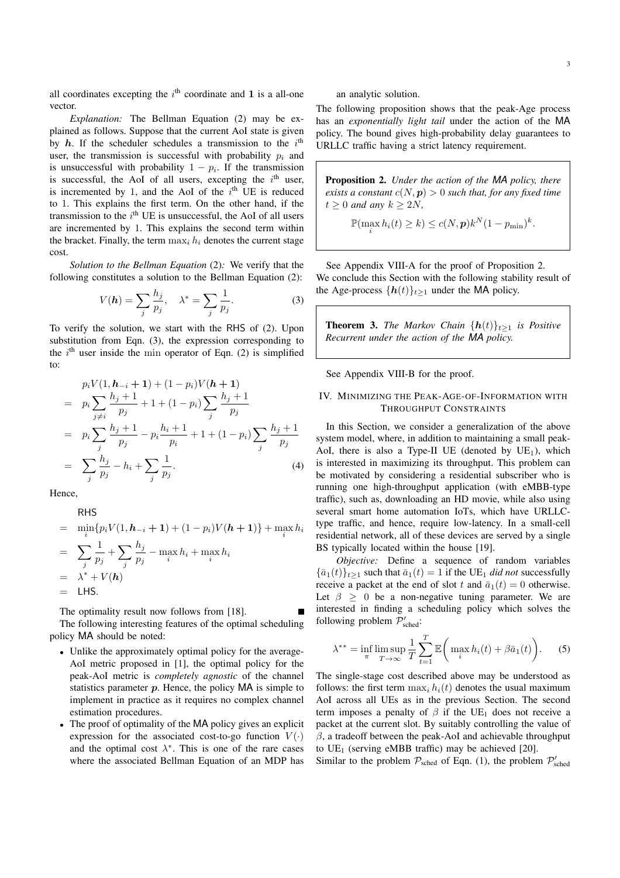all coordinates excepting the  $i<sup>th</sup>$  coordinate and 1 is a all-one vector.

*Explanation:* The Bellman Equation (2) may be explained as follows. Suppose that the current AoI state is given by  $h$ . If the scheduler schedules a transmission to the  $i<sup>th</sup>$ user, the transmission is successful with probability *p<sup>i</sup>* and is unsuccessful with probability  $1 - p_i$ . If the transmission is successful, the AoI of all users, excepting the  $i<sup>th</sup>$  user, is incremented by 1, and the AoI of the  $i<sup>th</sup>$  UE is reduced to 1. This explains the first term. On the other hand, if the transmission to the  $i<sup>th</sup>$  UE is unsuccessful, the AoI of all users are incremented by 1. This explains the second term within the bracket. Finally, the term  $\max_i h_i$  denotes the current stage cost.

*Solution to the Bellman Equation* (2)*:* We verify that the following constitutes a solution to the Bellman Equation (2):

$$
V(\mathbf{h}) = \sum_{j} \frac{h_j}{p_j}, \quad \lambda^* = \sum_{j} \frac{1}{p_j}.
$$
 (3)

To verify the solution, we start with the RHS of (2). Upon substitution from Eqn. (3), the expression corresponding to the  $i<sup>th</sup>$  user inside the min operator of Eqn. (2) is simplified to:

$$
p_i V(1, h_{-i} + 1) + (1 - p_i) V(h + 1)
$$
  
=  $p_i \sum_{j \neq i} \frac{h_j + 1}{p_j} + 1 + (1 - p_i) \sum_j \frac{h_j + 1}{p_j}$   
=  $p_i \sum_j \frac{h_j + 1}{p_j} - p_i \frac{h_i + 1}{p_i} + 1 + (1 - p_i) \sum_j \frac{h_j + 1}{p_j}$   
=  $\sum_j \frac{h_j}{p_j} - h_i + \sum_j \frac{1}{p_j}$ . (4)

Hence,

**RHS**  $=$   $\min_i \{ p_i V(1, h_{-i} + 1) + (1 - p_i) V(h + 1) \} + \max_i h_i$  $=$   $\sum$ *j* 1  $\frac{1}{p_j} + \sum_i$ *j*  $h_j$  $\frac{m_j}{p_j} - \max_i h_i + \max_i h_i$  $\lambda^* + V(h)$  $=$  LHS.

The optimality result now follows from [18].

The following interesting features of the optimal scheduling policy MA should be noted:

- Unlike the approximately optimal policy for the average-AoI metric proposed in [1], the optimal policy for the peak-AoI metric is *completely agnostic* of the channel statistics parameter *p*. Hence, the policy MA is simple to implement in practice as it requires no complex channel estimation procedures.
- *•* The proof of optimality of the MA policy gives an explicit expression for the associated cost-to-go function  $V(\cdot)$ and the optimal cost  $\lambda^*$ . This is one of the rare cases where the associated Bellman Equation of an MDP has

an analytic solution.

The following proposition shows that the peak-Age process has an *exponentially light tail* under the action of the MA policy. The bound gives high-probability delay guarantees to URLLC traffic having a strict latency requirement.

Proposition 2. *Under the action of the MA policy, there exists a constant*  $c(N, p) > 0$  *such that, for any fixed time*  $t \geq 0$  *and any*  $k \geq 2N$ *,* 

$$
\mathbb{P}(\max_{i} h_i(t) \ge k) \le c(N, p)k^N(1 - p_{\min})^k.
$$

See Appendix VIII-A for the proof of Proposition 2. We conclude this Section with the following stability result of the Age-process  $\{h(t)\}_{t\geq 1}$  under the MA policy.

**Theorem 3.** *The Markov Chain*  ${h(t)}_{t>1}$  *is Positive Recurrent under the action of the MA policy.*

See Appendix VIII-B for the proof.

# IV. MINIMIZING THE PEAK-AGE-OF-INFORMATION WITH THROUGHPUT CONSTRAINTS

In this Section, we consider a generalization of the above system model, where, in addition to maintaining a small peak-AoI, there is also a Type-II UE (denoted by  $UE<sub>1</sub>$ ), which is interested in maximizing its throughput. This problem can be motivated by considering a residential subscriber who is running one high-throughput application (with eMBB-type traffic), such as, downloading an HD movie, while also using several smart home automation IoTs, which have URLLCtype traffic, and hence, require low-latency. In a small-cell residential network, all of these devices are served by a single BS typically located within the house [19].

*Objective:* Define a sequence of random variables  ${\bar{a}_1(t)}_{t>1}$  such that  ${\bar{a}_1(t)}=1$  if the UE<sub>1</sub> *did not* successfully receive a packet at the end of slot *t* and  $\bar{a}_1(t)=0$  otherwise. Let  $\beta \geq 0$  be a non-negative tuning parameter. We are interested in finding a scheduling policy which solves the following problem  $\mathcal{P}'_{\text{sched}}$ :

$$
\lambda^{**} = \inf_{\pi} \limsup_{T \to \infty} \frac{1}{T} \sum_{t=1}^{T} \mathbb{E}\bigg(\max_{i} h_i(t) + \beta \bar{a}_1(t)\bigg). \tag{5}
$$

The single-stage cost described above may be understood as follows: the first term  $\max_i h_i(t)$  denotes the usual maximum AoI across all UEs as in the previous Section. The second term imposes a penalty of  $\beta$  if the UE<sub>1</sub> does not receive a packet at the current slot. By suitably controlling the value of  $\beta$ , a tradeoff between the peak-AoI and achievable throughput to  $UE_1$  (serving eMBB traffic) may be achieved [20].

Similar to the problem  $P_{\text{sched}}$  of Eqn. (1), the problem  $P_{\text{sched}}'$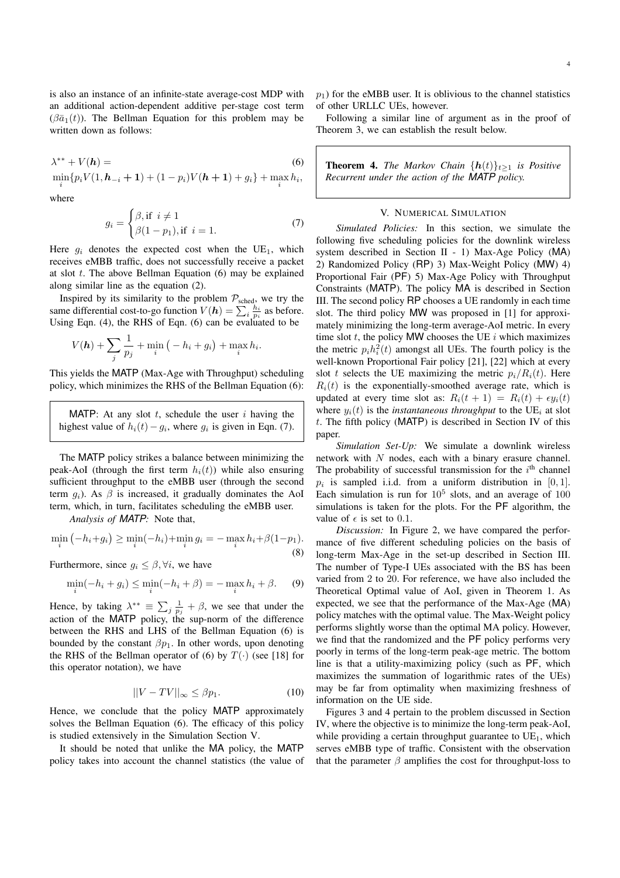is also an instance of an infinite-state average-cost MDP with an additional action-dependent additive per-stage cost term  $(\beta \bar{a}_1(t))$ . The Bellman Equation for this problem may be written down as follows:

$$
\lambda^{**} + V(h) = \tag{6}
$$
  
min $\{n, V(1, h_1 + 1) + (1, n), V(h + 1) + a\} + \text{max } h_1$ 

 $\min_i \{ p_i V(1, h_{-i} + 1) + (1 - p_i) V(h + 1) + g_i \} + \max_i h_i,$ where

$$
g_i = \begin{cases} \beta, \text{if } i \neq 1\\ \beta(1 - p_1), \text{if } i = 1. \end{cases} \tag{7}
$$

Here  $g_i$  denotes the expected cost when the UE<sub>1</sub>, which receives eMBB traffic, does not successfully receive a packet at slot *t*. The above Bellman Equation (6) may be explained along similar line as the equation (2).

Inspired by its similarity to the problem  $P_{\text{sched}}$ , we try the same differential cost-to-go function  $V(\mathbf{h}) = \sum_{i} \frac{h_i}{p_i}$  as before. Using Eqn. (4), the RHS of Eqn. (6) can be evaluated to be

$$
V(\boldsymbol{h}) + \sum_{j} \frac{1}{p_j} + \min_{i} \left( -h_i + g_i \right) + \max_{i} h_i.
$$

This yields the MATP (Max-Age with Throughput) scheduling policy, which minimizes the RHS of the Bellman Equation (6):

MATP: At any slot *t*, schedule the user *i* having the highest value of  $h_i(t) - g_i$ , where  $g_i$  is given in Eqn. (7).

The MATP policy strikes a balance between minimizing the peak-AoI (through the first term  $h_i(t)$ ) while also ensuring sufficient throughput to the eMBB user (through the second term  $q_i$ ). As  $\beta$  is increased, it gradually dominates the AoI term, which, in turn, facilitates scheduling the eMBB user.

*Analysis of MATP:* Note that,

$$
\min_{i} (-h_i + g_i) \ge \min_{i} (-h_i) + \min_{i} g_i = -\max_{i} h_i + \beta (1 - p_1).
$$
\n(8)

Furthermore, since  $g_i \leq \beta, \forall i$ , we have

$$
\min_{i}(-h_i + g_i) \le \min_{i}(-h_i + \beta) = -\max_{i}h_i + \beta.
$$
 (9)

Hence, by taking  $\lambda^{**} \equiv \sum_j \frac{1}{p_j} + \beta$ , we see that under the action of the MATP policy, the sup-norm of the difference between the RHS and LHS of the Bellman Equation (6) is bounded by the constant  $\beta p_1$ . In other words, upon denoting the RHS of the Bellman operator of (6) by  $T(\cdot)$  (see [18] for this operator notation), we have

$$
||V - TV||_{\infty} \le \beta p_1. \tag{10}
$$

Hence, we conclude that the policy MATP approximately solves the Bellman Equation (6). The efficacy of this policy is studied extensively in the Simulation Section V.

It should be noted that unlike the MA policy, the MATP policy takes into account the channel statistics (the value of  $p_1$ ) for the eMBB user. It is oblivious to the channel statistics of other URLLC UEs, however.

Following a similar line of argument as in the proof of Theorem 3, we can establish the result below.

**Theorem 4.** *The Markov Chain*  ${h(t)}_{t>1}$  *is Positive Recurrent under the action of the MATP policy.*

## V. NUMERICAL SIMULATION

*Simulated Policies:* In this section, we simulate the following five scheduling policies for the downlink wireless system described in Section II - 1) Max-Age Policy (MA) 2) Randomized Policy (RP) 3) Max-Weight Policy (MW) 4) Proportional Fair (PF) 5) Max-Age Policy with Throughput Constraints (MATP). The policy MA is described in Section III. The second policy RP chooses a UE randomly in each time slot. The third policy MW was proposed in [1] for approximately minimizing the long-term average-AoI metric. In every time slot  $t$ , the policy MW chooses the UE  $i$  which maximizes the metric  $p_i h_i^2(t)$  amongst all UEs. The fourth policy is the well-known Proportional Fair policy [21], [22] which at every slot *t* selects the UE maximizing the metric  $p_i/R_i(t)$ . Here  $R_i(t)$  is the exponentially-smoothed average rate, which is updated at every time slot as:  $R_i(t + 1) = R_i(t) + \epsilon y_i(t)$ where  $y_i(t)$  is the *instantaneous throughput* to the UE<sub>*i*</sub> at slot *t*. The fifth policy (MATP) is described in Section IV of this paper.

*Simulation Set-Up:* We simulate a downlink wireless network with *N* nodes, each with a binary erasure channel. The probability of successful transmission for the  $i<sup>th</sup>$  channel  $p_i$  is sampled i.i.d. from a uniform distribution in [0, 1]. Each simulation is run for  $10<sup>5</sup>$  slots, and an average of 100 simulations is taken for the plots. For the PF algorithm, the value of  $\epsilon$  is set to 0.1.

*Discussion:* In Figure 2, we have compared the performance of five different scheduling policies on the basis of long-term Max-Age in the set-up described in Section III. The number of Type-I UEs associated with the BS has been varied from 2 to 20. For reference, we have also included the Theoretical Optimal value of AoI, given in Theorem 1. As expected, we see that the performance of the Max-Age (MA) policy matches with the optimal value. The Max-Weight policy performs slightly worse than the optimal MA policy. However, we find that the randomized and the PF policy performs very poorly in terms of the long-term peak-age metric. The bottom line is that a utility-maximizing policy (such as PF, which maximizes the summation of logarithmic rates of the UEs) may be far from optimality when maximizing freshness of information on the UE side.

Figures 3 and 4 pertain to the problem discussed in Section IV, where the objective is to minimize the long-term peak-AoI, while providing a certain throughput guarantee to  $UE<sub>1</sub>$ , which serves eMBB type of traffic. Consistent with the observation that the parameter  $\beta$  amplifies the cost for throughput-loss to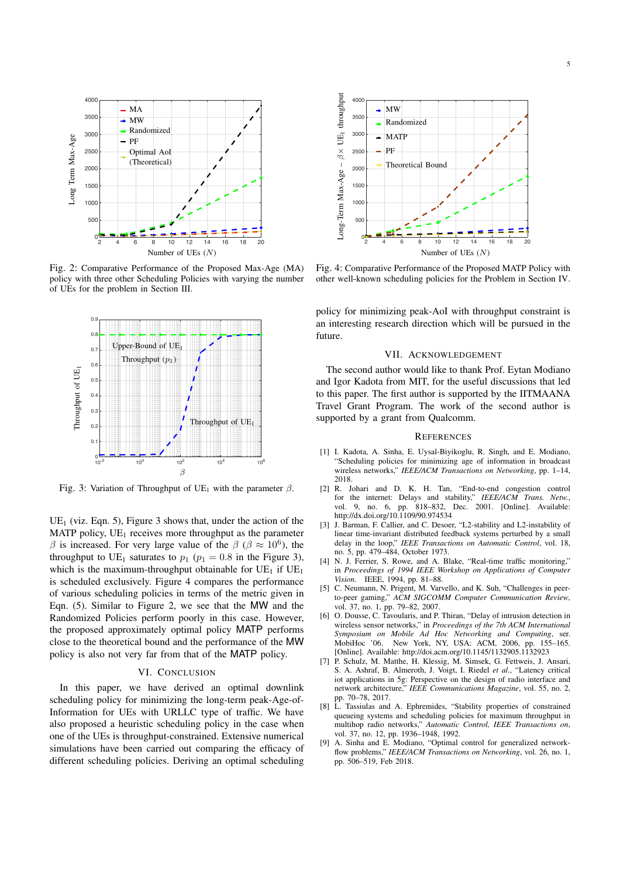

Fig. 2: Comparative Performance of the Proposed Max-Age (MA) policy with three other Scheduling Policies with varying the number of UEs for the problem in Section III.



Fig. 3: Variation of Throughput of UE<sub>1</sub> with the parameter  $\beta$ .

 $UE_1$  (viz. Eqn. 5), Figure 3 shows that, under the action of the MATP policy,  $UE_1$  receives more throughput as the parameter  $\beta$  is increased. For very large value of the  $\beta$  ( $\beta \approx 10^6$ ), the throughput to UE<sub>1</sub> saturates to  $p_1$  ( $p_1 = 0.8$  in the Figure 3), which is the maximum-throughput obtainable for  $UE<sub>1</sub>$  if  $UE<sub>1</sub>$ is scheduled exclusively. Figure 4 compares the performance of various scheduling policies in terms of the metric given in Eqn. (5). Similar to Figure 2, we see that the MW and the Randomized Policies perform poorly in this case. However, the proposed approximately optimal policy MATP performs close to the theoretical bound and the performance of the MW policy is also not very far from that of the MATP policy.

#### VI. CONCLUSION

In this paper, we have derived an optimal downlink scheduling policy for minimizing the long-term peak-Age-of-Information for UEs with URLLC type of traffic. We have also proposed a heuristic scheduling policy in the case when one of the UEs is throughput-constrained. Extensive numerical simulations have been carried out comparing the efficacy of different scheduling policies. Deriving an optimal scheduling



Fig. 4: Comparative Performance of the Proposed MATP Policy with other well-known scheduling policies for the Problem in Section IV.

policy for minimizing peak-AoI with throughput constraint is an interesting research direction which will be pursued in the future.

## VII. ACKNOWLEDGEMENT

The second author would like to thank Prof. Eytan Modiano and Igor Kadota from MIT, for the useful discussions that led to this paper. The first author is supported by the IITMAANA Travel Grant Program. The work of the second author is supported by a grant from Qualcomm.

#### **REFERENCES**

- [1] I. Kadota, A. Sinha, E. Uysal-Biyikoglu, R. Singh, and E. Modiano, "Scheduling policies for minimizing age of information in broadcast wireless networks," *IEEE/ACM Transactions on Networking*, pp. 1–14, 2018.
- [2] R. Johari and D. K. H. Tan, "End-to-end congestion control for the internet: Delays and stability," *IEEE/ACM Trans. Netw.*, vol. 9, no. 6, pp. 818–832, Dec. 2001. [Online]. Available: http://dx.doi.org/10.1109/90.974534
- [3] J. Barman, F. Callier, and C. Desoer, "L2-stability and L2-instability of linear time-invariant distributed feedback systems perturbed by a small delay in the loop," *IEEE Transactions on Automatic Control*, vol. 18, no. 5, pp. 479–484, October 1973.
- [4] N. J. Ferrier, S. Rowe, and A. Blake, "Real-time traffic monitoring," in *Proceedings of 1994 IEEE Workshop on Applications of Computer Vision*. IEEE, 1994, pp. 81–88.
- [5] C. Neumann, N. Prigent, M. Varvello, and K. Suh, "Challenges in peerto-peer gaming," *ACM SIGCOMM Computer Communication Review*, vol. 37, no. 1, pp. 79–82, 2007.
- [6] O. Dousse, C. Tavoularis, and P. Thiran, "Delay of intrusion detection in wireless sensor networks," in *Proceedings of the 7th ACM International Symposium on Mobile Ad Hoc Networking and Computing*, ser. MobiHoc '06. New York, NY, USA: ACM, 2006, pp. 155–165. [Online]. Available: http://doi.acm.org/10.1145/1132905.1132923
- [7] P. Schulz, M. Matthe, H. Klessig, M. Simsek, G. Fettweis, J. Ansari, S. A. Ashraf, B. Almeroth, J. Voigt, I. Riedel *et al.*, "Latency critical iot applications in 5g: Perspective on the design of radio interface and network architecture," *IEEE Communications Magazine*, vol. 55, no. 2, pp. 70–78, 2017.
- [8] L. Tassiulas and A. Ephremides, "Stability properties of constrained queueing systems and scheduling policies for maximum throughput in multihop radio networks," *Automatic Control, IEEE Transactions on*, vol. 37, no. 12, pp. 1936–1948, 1992.
- A. Sinha and E. Modiano, "Optimal control for generalized networkflow problems," *IEEE/ACM Transactions on Networking*, vol. 26, no. 1, pp. 506–519, Feb 2018.